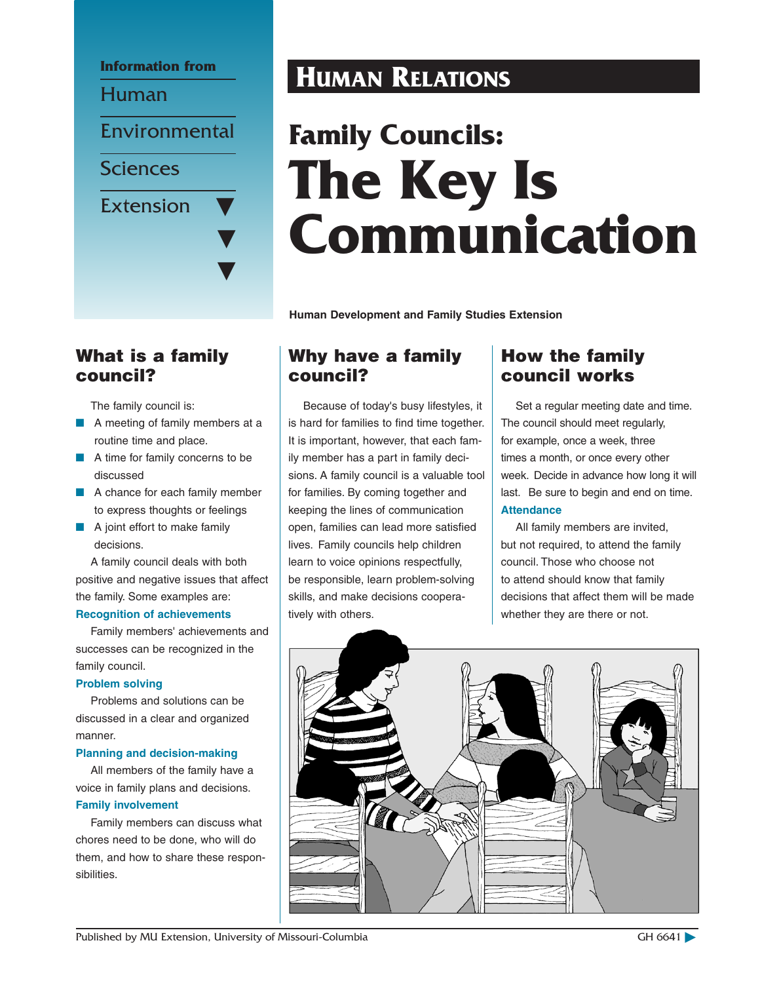

# What is a family council?

The family council is:

- A meeting of family members at a routine time and place.
- A time for family concerns to be discussed
- A chance for each family member to express thoughts or feelings
- A joint effort to make family decisions.

A family council deals with both positive and negative issues that affect the family. Some examples are:

## **Recognition of achievements**

Family members' achievements and successes can be recognized in the family council.

#### **Problem solving**

Problems and solutions can be discussed in a clear and organized manner.

#### **Planning and decision-making**

All members of the family have a voice in family plans and decisions. **Family involvement**

Family members can discuss what chores need to be done, who will do them, and how to share these responsibilities.

# **Human Relations**

# **Family Councils: The Key Is Communication**

**Human Development and Family Studies Extension**

# Why have a family council?

Because of today's busy lifestyles, it is hard for families to find time together. It is important, however, that each family member has a part in family decisions. A family council is a valuable tool for families. By coming together and keeping the lines of communication open, families can lead more satisfied lives. Family councils help children learn to voice opinions respectfully, be responsible, learn problem-solving skills, and make decisions cooperatively with others.

# How the family council works

Set a regular meeting date and time. The council should meet regularly, for example, once a week, three times a month, or once every other week. Decide in advance how long it will last. Be sure to begin and end on time. **Attendance**

All family members are invited, but not required, to attend the family council. Those who choose not to attend should know that family decisions that affect them will be made whether they are there or not.



Published by MU Extension, University of Missouri-Columbia GH 6641 CH 6641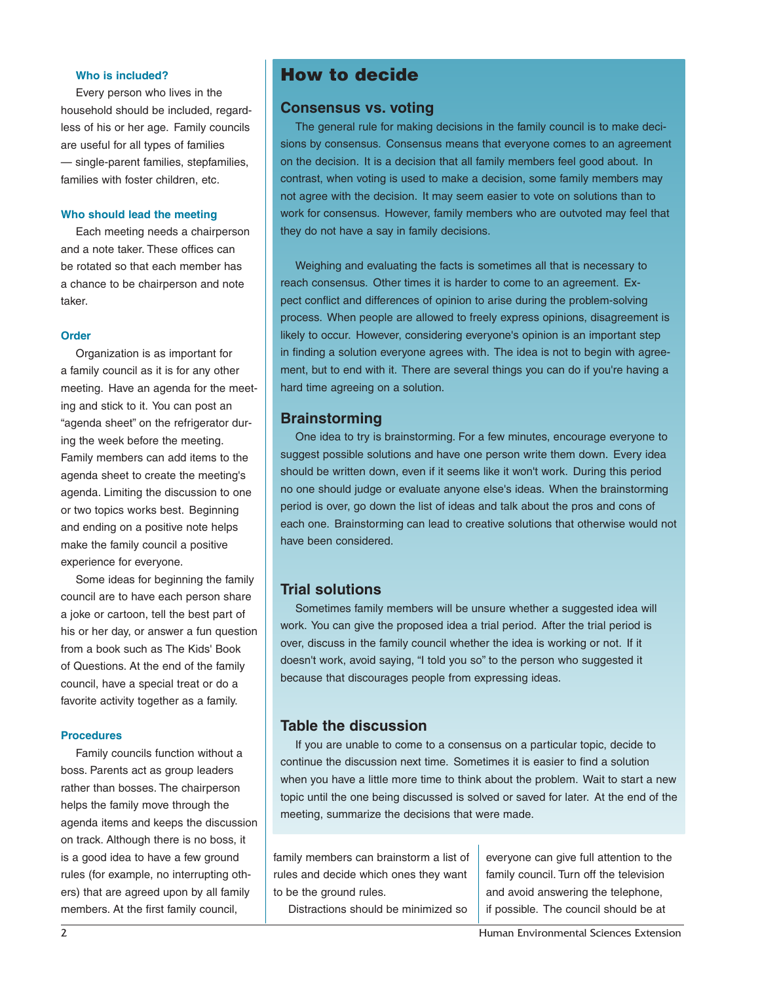#### **Who is included?**

Every person who lives in the household should be included, regardless of his or her age. Family councils are useful for all types of families — single-parent families, stepfamilies, families with foster children, etc.

#### **Who should lead the meeting**

Each meeting needs a chairperson and a note taker. These offices can be rotated so that each member has a chance to be chairperson and note taker.

#### **Order**

Organization is as important for a family council as it is for any other meeting. Have an agenda for the meeting and stick to it. You can post an "agenda sheet" on the refrigerator during the week before the meeting. Family members can add items to the agenda sheet to create the meeting's agenda. Limiting the discussion to one or two topics works best. Beginning and ending on a positive note helps make the family council a positive experience for everyone.

Some ideas for beginning the family council are to have each person share a joke or cartoon, tell the best part of his or her day, or answer a fun question from a book such as The Kids' Book of Questions. At the end of the family council, have a special treat or do a favorite activity together as a family.

#### **Procedures**

Family councils function without a boss. Parents act as group leaders rather than bosses. The chairperson helps the family move through the agenda items and keeps the discussion on track. Although there is no boss, it is a good idea to have a few ground rules (for example, no interrupting others) that are agreed upon by all family members. At the first family council,

## How to decide

### **Consensus vs. voting**

The general rule for making decisions in the family council is to make decisions by consensus. Consensus means that everyone comes to an agreement on the decision. It is a decision that all family members feel good about. In contrast, when voting is used to make a decision, some family members may not agree with the decision. It may seem easier to vote on solutions than to work for consensus. However, family members who are outvoted may feel that they do not have a say in family decisions.

Weighing and evaluating the facts is sometimes all that is necessary to reach consensus. Other times it is harder to come to an agreement. Expect conflict and differences of opinion to arise during the problem-solving process. When people are allowed to freely express opinions, disagreement is likely to occur. However, considering everyone's opinion is an important step in finding a solution everyone agrees with. The idea is not to begin with agreement, but to end with it. There are several things you can do if you're having a hard time agreeing on a solution.

## **Brainstorming**

One idea to try is brainstorming. For a few minutes, encourage everyone to suggest possible solutions and have one person write them down. Every idea should be written down, even if it seems like it won't work. During this period no one should judge or evaluate anyone else's ideas. When the brainstorming period is over, go down the list of ideas and talk about the pros and cons of each one. Brainstorming can lead to creative solutions that otherwise would not have been considered.

## **Trial solutions**

Sometimes family members will be unsure whether a suggested idea will work. You can give the proposed idea a trial period. After the trial period is over, discuss in the family council whether the idea is working or not. If it doesn't work, avoid saying, "I told you so" to the person who suggested it because that discourages people from expressing ideas.

## **Table the discussion**

If you are unable to come to a consensus on a particular topic, decide to continue the discussion next time. Sometimes it is easier to find a solution when you have a little more time to think about the problem. Wait to start a new topic until the one being discussed is solved or saved for later. At the end of the meeting, summarize the decisions that were made.

family members can brainstorm a list of rules and decide which ones they want to be the ground rules.

Distractions should be minimized so

everyone can give full attention to the family council. Turn off the television and avoid answering the telephone, if possible. The council should be at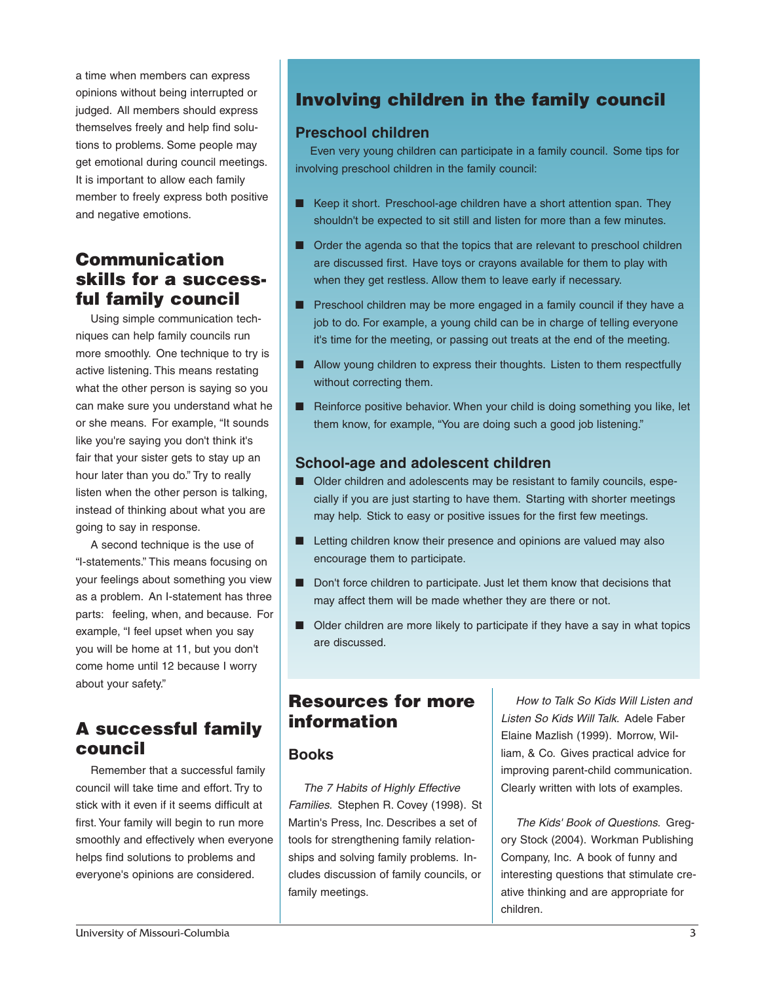a time when members can express opinions without being interrupted or judged. All members should express themselves freely and help find solutions to problems. Some people may get emotional during council meetings. It is important to allow each family member to freely express both positive and negative emotions.

# Communication skills for a successful family council

Using simple communication techniques can help family councils run more smoothly. One technique to try is active listening. This means restating what the other person is saying so you can make sure you understand what he or she means. For example, "It sounds like you're saying you don't think it's fair that your sister gets to stay up an hour later than you do." Try to really listen when the other person is talking, instead of thinking about what you are going to say in response.

A second technique is the use of "I-statements." This means focusing on your feelings about something you view as a problem. An I-statement has three parts: feeling, when, and because. For example, "I feel upset when you say you will be home at 11, but you don't come home until 12 because I worry about your safety."

# A successful family council

Remember that a successful family council will take time and effort. Try to stick with it even if it seems difficult at first. Your family will begin to run more smoothly and effectively when everyone helps find solutions to problems and everyone's opinions are considered.

# Involving children in the family council

## **Preschool children**

Even very young children can participate in a family council. Some tips for involving preschool children in the family council:

- Keep it short. Preschool-age children have a short attention span. They shouldn't be expected to sit still and listen for more than a few minutes.
- Order the agenda so that the topics that are relevant to preschool children are discussed first. Have toys or crayons available for them to play with when they get restless. Allow them to leave early if necessary.
- Preschool children may be more engaged in a family council if they have a job to do. For example, a young child can be in charge of telling everyone it's time for the meeting, or passing out treats at the end of the meeting.
- Allow young children to express their thoughts. Listen to them respectfully without correcting them.
- Reinforce positive behavior. When your child is doing something you like, let them know, for example, "You are doing such a good job listening."

## **School-age and adolescent children**

- Older children and adolescents may be resistant to family councils, especially if you are just starting to have them. Starting with shorter meetings may help. Stick to easy or positive issues for the first few meetings.
- Letting children know their presence and opinions are valued may also encourage them to participate.
- Don't force children to participate. Just let them know that decisions that may affect them will be made whether they are there or not.
- Older children are more likely to participate if they have a say in what topics are discussed.

# Resources for more information

## **Books**

*The 7 Habits of Highly Effective Families.* Stephen R. Covey (1998). St Martin's Press, Inc. Describes a set of tools for strengthening family relationships and solving family problems. Includes discussion of family councils, or family meetings.

*How to Talk So Kids Will Listen and Listen So Kids Will Talk*. Adele Faber Elaine Mazlish (1999). Morrow, William, & Co. Gives practical advice for improving parent-child communication. Clearly written with lots of examples.

*The Kids' Book of Questions.* Gregory Stock (2004). Workman Publishing Company, Inc. A book of funny and interesting questions that stimulate creative thinking and are appropriate for children.